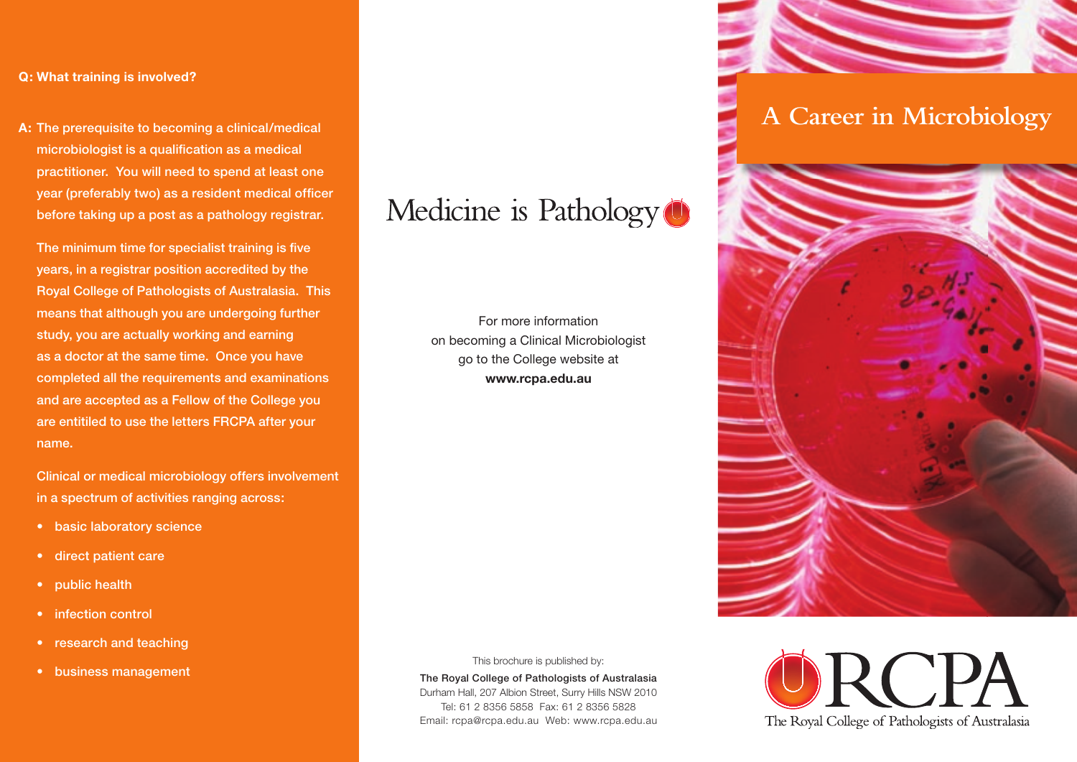#### **Q: What training is involved?**

**A:** The prerequisite to becoming a clinical/medical microbiologist is a qualification as a medical practitioner. You will need to spend at least one year (preferably two) as a resident medical officer before taking up a post as a pathology registrar.

The minimum time for specialist training is five years, in a registrar position accredited by the Royal College of Pathologists of Australasia. This means that although you are undergoing further study, you are actually working and earning as a doctor at the same time. Once you have completed all the requirements and examinations and are accepted as a Fellow of the College you are entitiled to use the letters FRCPA after your name.

 Clinical or medical microbiology offers involvement in a spectrum of activities ranging across:

- basic laboratory science
- direct patient care
- public health
- infection control
- research and teaching
- business management

# Medicine is Pathology<sup>(1)</sup>

For more information on becoming a Clinical Microbiologist go to the College website at **www.rcpa.edu.au**

This brochure is published by:

The Royal College of Pathologists of Australasia Durham Hall, 207 Albion Street, Surry Hills NSW 2010 Tel: 61 2 8356 5858 Fax: 61 2 8356 5828 Email: rcpa@rcpa.edu.au Web: www.rcpa.edu.au

## **A Career in Microbiology**